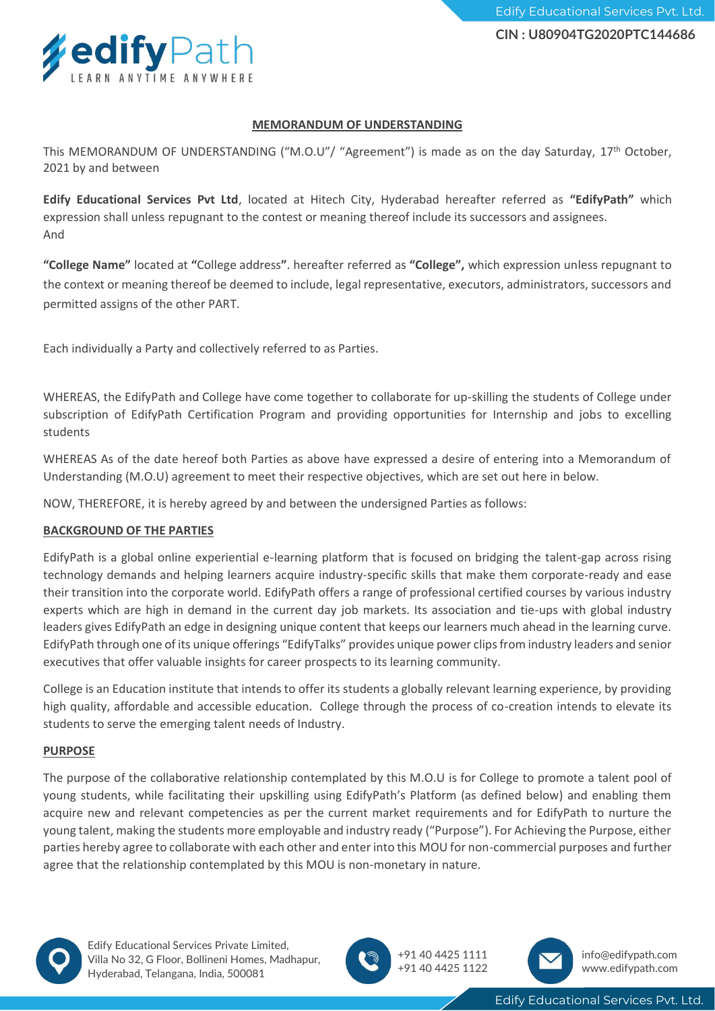

This MEMORANDUM OF UNDERSTANDING ("M.O.U"/ "Agreement") is made as on the day Saturday, 17<sup>th</sup> October, 2021 by and between

**Edify Educational Services Pvt Ltd**, located at Hitech City, Hyderabad hereafter referred as **"EdifyPath"** which expression shall unless repugnant to the contest or meaning thereof include its successors and assignees. And

**"College Name"** located at **"**College address**"**. hereafter referred as **"College",** which expression unless repugnant to the context or meaning thereof be deemed to include, legal representative, executors, administrators, successors and permitted assigns of the other PART.

Each individually a Party and collectively referred to as Parties.

WHEREAS, the EdifyPath and College have come together to collaborate for up-skilling the students of College under subscription of EdifyPath Certification Program and providing opportunities for Internship and jobs to excelling students

WHEREAS As of the date hereof both Parties as above have expressed a desire of entering into a Memorandum of Understanding (M.O.U) agreement to meet their respective objectives, which are set out here in below.

NOW, THEREFORE, it is hereby agreed by and between the undersigned Parties as follows:

#### **BACKGROUND OF THE PARTIES**

EdifyPath is a global online experiential e-learning platform that is focused on bridging the talent-gap across rising technology demands and helping learners acquire industry-specific skills that make them corporate-ready and ease their transition into the corporate world. EdifyPath offers a range of professional certified courses by various industry experts which are high in demand in the current day job markets. Its association and tie-ups with global industry leaders gives EdifyPath an edge in designing unique content that keeps our learners much ahead in the learning curve. EdifyPath through one of its unique offerings "EdifyTalks" provides unique power clips from industry leaders and senior executives that offer valuable insights for career prospects to its learning community.

College is an Education institute that intends to offer its students a globally relevant learning experience, by providing high quality, affordable and accessible education. College through the process of co-creation intends to elevate its students to serve the emerging talent needs of Industry.

#### **PURPOSE**

The purpose of the collaborative relationship contemplated by this M.O.U is for College to promote a talent pool of young students, while facilitating their upskilling using EdifyPath's Platform (as defined below) and enabling them acquire new and relevant competencies as per the current market requirements and for EdifyPath to nurture the young talent, making the students more employable and industry ready ("Purpose"). For Achieving the Purpose, either parties hereby agree to collaborate with each other and enter into this MOU for non-commercial purposes and further agree that the relationship contemplated by this MOU is non-monetary in nature.



Edify Educational Services Private Limited, Villa No 32, G Floor, Bollineni Homes, Madhapur, Hyderabad, Telangana, India, 500081





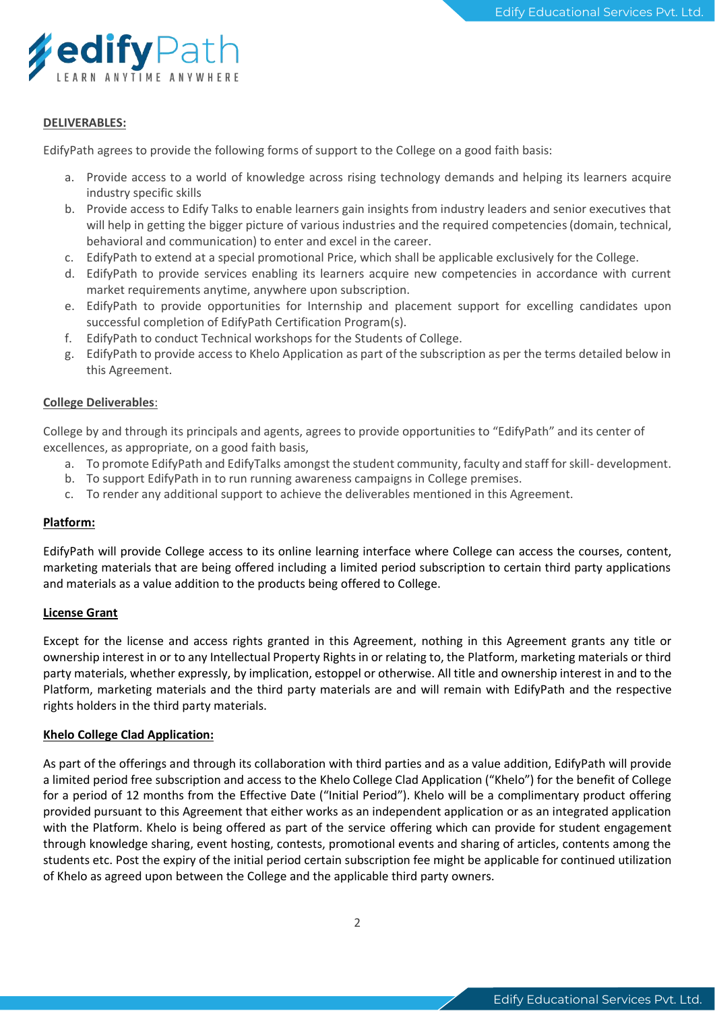

#### **DELIVERABLES:**

EdifyPath agrees to provide the following forms of support to the College on a good faith basis:

- a. Provide access to a world of knowledge across rising technology demands and helping its learners acquire industry specific skills
- b. Provide access to Edify Talks to enable learners gain insights from industry leaders and senior executives that will help in getting the bigger picture of various industries and the required competencies (domain, technical, behavioral and communication) to enter and excel in the career.
- c. EdifyPath to extend at a special promotional Price, which shall be applicable exclusively for the College.
- d. EdifyPath to provide services enabling its learners acquire new competencies in accordance with current market requirements anytime, anywhere upon subscription.
- e. EdifyPath to provide opportunities for Internship and placement support for excelling candidates upon successful completion of EdifyPath Certification Program(s).
- f. EdifyPath to conduct Technical workshops for the Students of College.
- g. EdifyPath to provide access to Khelo Application as part of the subscription as per the terms detailed below in this Agreement.

#### **College Deliverables**:

College by and through its principals and agents, agrees to provide opportunities to "EdifyPath" and its center of excellences, as appropriate, on a good faith basis,

- a. To promote EdifyPath and EdifyTalks amongst the student community, faculty and staff for skill- development.
- b. To support EdifyPath in to run running awareness campaigns in College premises.
- c. To render any additional support to achieve the deliverables mentioned in this Agreement.

#### **Platform:**

EdifyPath will provide College access to its online learning interface where College can access the courses, content, marketing materials that are being offered including a limited period subscription to certain third party applications and materials as a value addition to the products being offered to College.

#### **License Grant**

Except for the license and access rights granted in this Agreement, nothing in this Agreement grants any title or ownership interest in or to any Intellectual Property Rights in or relating to, the Platform, marketing materials or third party materials, whether expressly, by implication, estoppel or otherwise. All title and ownership interest in and to the Platform, marketing materials and the third party materials are and will remain with EdifyPath and the respective rights holders in the third party materials.

#### **Khelo College Clad Application:**

As part of the offerings and through its collaboration with third parties and as a value addition, EdifyPath will provide a limited period free subscription and access to the Khelo College Clad Application ("Khelo") for the benefit of College for a period of 12 months from the Effective Date ("Initial Period"). Khelo will be a complimentary product offering provided pursuant to this Agreement that either works as an independent application or as an integrated application with the Platform. Khelo is being offered as part of the service offering which can provide for student engagement through knowledge sharing, event hosting, contests, promotional events and sharing of articles, contents among the students etc. Post the expiry of the initial period certain subscription fee might be applicable for continued utilization of Khelo as agreed upon between the College and the applicable third party owners.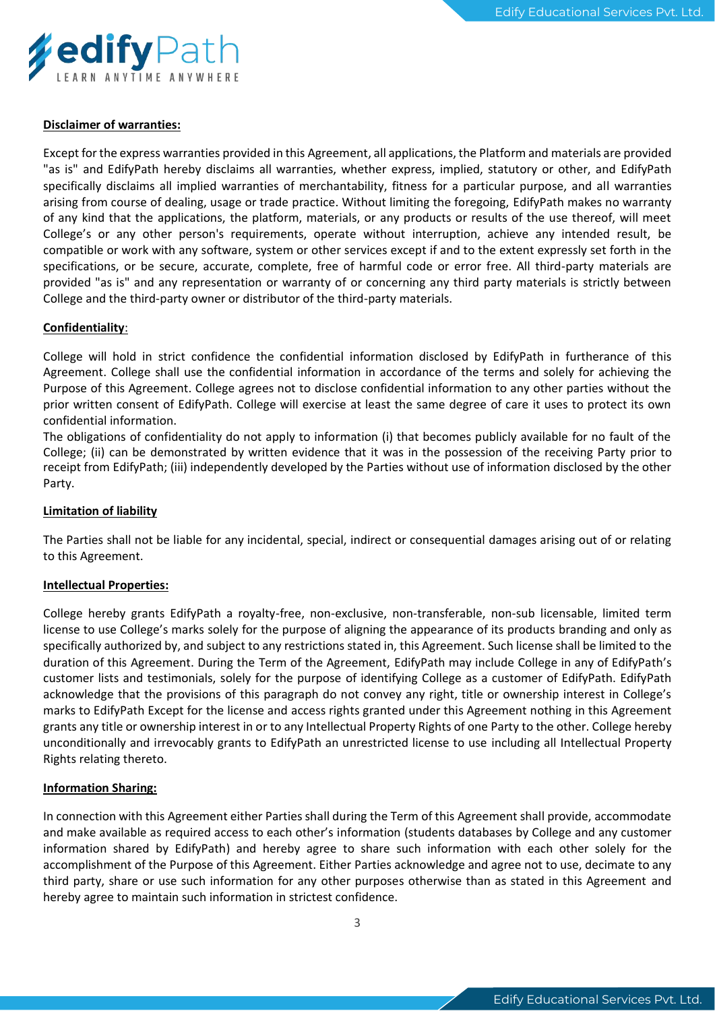

#### **Disclaimer of warranties:**

Except for the express warranties provided in this Agreement, all applications, the Platform and materials are provided "as is" and EdifyPath hereby disclaims all warranties, whether express, implied, statutory or other, and EdifyPath specifically disclaims all implied warranties of merchantability, fitness for a particular purpose, and all warranties arising from course of dealing, usage or trade practice. Without limiting the foregoing, EdifyPath makes no warranty of any kind that the applications, the platform, materials, or any products or results of the use thereof, will meet College's or any other person's requirements, operate without interruption, achieve any intended result, be compatible or work with any software, system or other services except if and to the extent expressly set forth in the specifications, or be secure, accurate, complete, free of harmful code or error free. All third-party materials are provided "as is" and any representation or warranty of or concerning any third party materials is strictly between College and the third-party owner or distributor of the third-party materials.

#### **Confidentiality**:

College will hold in strict confidence the confidential information disclosed by EdifyPath in furtherance of this Agreement. College shall use the confidential information in accordance of the terms and solely for achieving the Purpose of this Agreement. College agrees not to disclose confidential information to any other parties without the prior written consent of EdifyPath. College will exercise at least the same degree of care it uses to protect its own confidential information.

The obligations of confidentiality do not apply to information (i) that becomes publicly available for no fault of the College; (ii) can be demonstrated by written evidence that it was in the possession of the receiving Party prior to receipt from EdifyPath; (iii) independently developed by the Parties without use of information disclosed by the other Party.

#### **Limitation of liability**

The Parties shall not be liable for any incidental, special, indirect or consequential damages arising out of or relating to this Agreement.

#### **Intellectual Properties:**

College hereby grants EdifyPath a royalty-free, non-exclusive, non-transferable, non-sub licensable, limited term license to use College's marks solely for the purpose of aligning the appearance of its products branding and only as specifically authorized by, and subject to any restrictions stated in, this Agreement. Such license shall be limited to the duration of this Agreement. During the Term of the Agreement, EdifyPath may include College in any of EdifyPath's customer lists and testimonials, solely for the purpose of identifying College as a customer of EdifyPath. EdifyPath acknowledge that the provisions of this paragraph do not convey any right, title or ownership interest in College's marks to EdifyPath Except for the license and access rights granted under this Agreement nothing in this Agreement grants any title or ownership interest in or to any Intellectual Property Rights of one Party to the other. College hereby unconditionally and irrevocably grants to EdifyPath an unrestricted license to use including all Intellectual Property Rights relating thereto.

#### **Information Sharing:**

In connection with this Agreement either Parties shall during the Term of this Agreement shall provide, accommodate and make available as required access to each other's information (students databases by College and any customer information shared by EdifyPath) and hereby agree to share such information with each other solely for the accomplishment of the Purpose of this Agreement. Either Parties acknowledge and agree not to use, decimate to any third party, share or use such information for any other purposes otherwise than as stated in this Agreement and hereby agree to maintain such information in strictest confidence.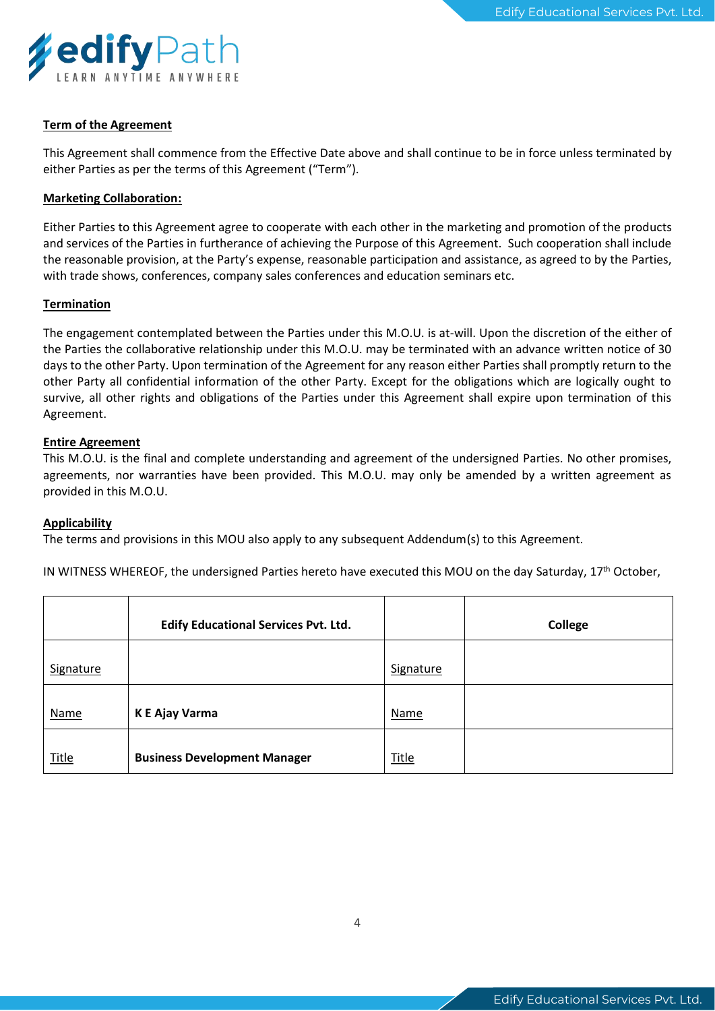

#### **Term of the Agreement**

This Agreement shall commence from the Effective Date above and shall continue to be in force unless terminated by either Parties as per the terms of this Agreement ("Term").

#### **Marketing Collaboration:**

Either Parties to this Agreement agree to cooperate with each other in the marketing and promotion of the products and services of the Parties in furtherance of achieving the Purpose of this Agreement. Such cooperation shall include the reasonable provision, at the Party's expense, reasonable participation and assistance, as agreed to by the Parties, with trade shows, conferences, company sales conferences and education seminars etc.

#### **Termination**

The engagement contemplated between the Parties under this M.O.U. is at-will. Upon the discretion of the either of the Parties the collaborative relationship under this M.O.U. may be terminated with an advance written notice of 30 days to the other Party. Upon termination of the Agreement for any reason either Parties shall promptly return to the other Party all confidential information of the other Party. Except for the obligations which are logically ought to survive, all other rights and obligations of the Parties under this Agreement shall expire upon termination of this Agreement.

#### **Entire Agreement**

This M.O.U. is the final and complete understanding and agreement of the undersigned Parties. No other promises, agreements, nor warranties have been provided. This M.O.U. may only be amended by a written agreement as provided in this M.O.U.

#### **Applicability**

The terms and provisions in this MOU also apply to any subsequent Addendum(s) to this Agreement.

IN WITNESS WHEREOF, the undersigned Parties hereto have executed this MOU on the day Saturday, 17<sup>th</sup> October,

|              | <b>Edify Educational Services Pvt. Ltd.</b> |              | <b>College</b> |
|--------------|---------------------------------------------|--------------|----------------|
| Signature    |                                             | Signature    |                |
| Name         | K E Ajay Varma                              | <b>Name</b>  |                |
| <b>Title</b> | <b>Business Development Manager</b>         | <b>Title</b> |                |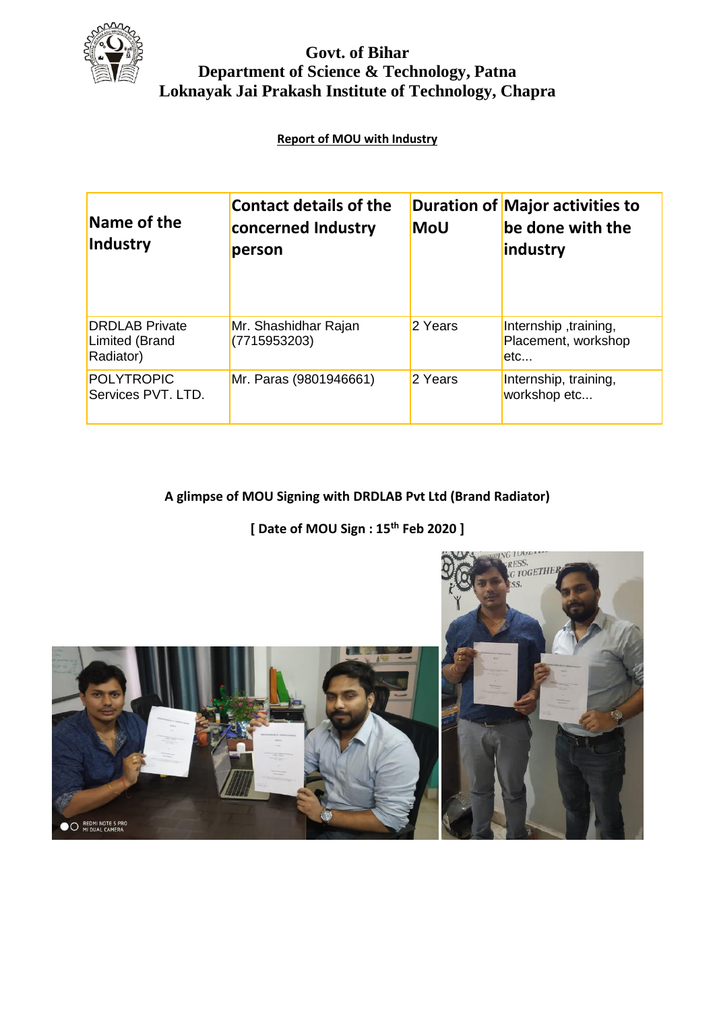

#### **Govt. of Bihar Department of Science & Technology, Patna Loknayak Jai Prakash Institute of Technology, Chapra**

#### **Report of MOU with Industry**

| Name of the<br>Industry                              | <b>Contact details of the</b><br>concerned Industry<br>person | <b>MoU</b> | <b>Duration of Major activities to</b><br>be done with the<br>industry |
|------------------------------------------------------|---------------------------------------------------------------|------------|------------------------------------------------------------------------|
| <b>DRDLAB</b> Private<br>Limited (Brand<br>Radiator) | Mr. Shashidhar Rajan<br>(7715953203)                          | 2 Years    | Internship, training,<br>Placement, workshop<br>etc                    |
| POLYTROPIC<br>Services PVT. LTD.                     | Mr. Paras (9801946661)                                        | 2 Years    | Internship, training,<br>workshop etc                                  |

#### **A glimpse of MOU Signing with DRDLAB Pvt Ltd (Brand Radiator)**

**[ Date of MOU Sign : 15th Feb 2020 ]**



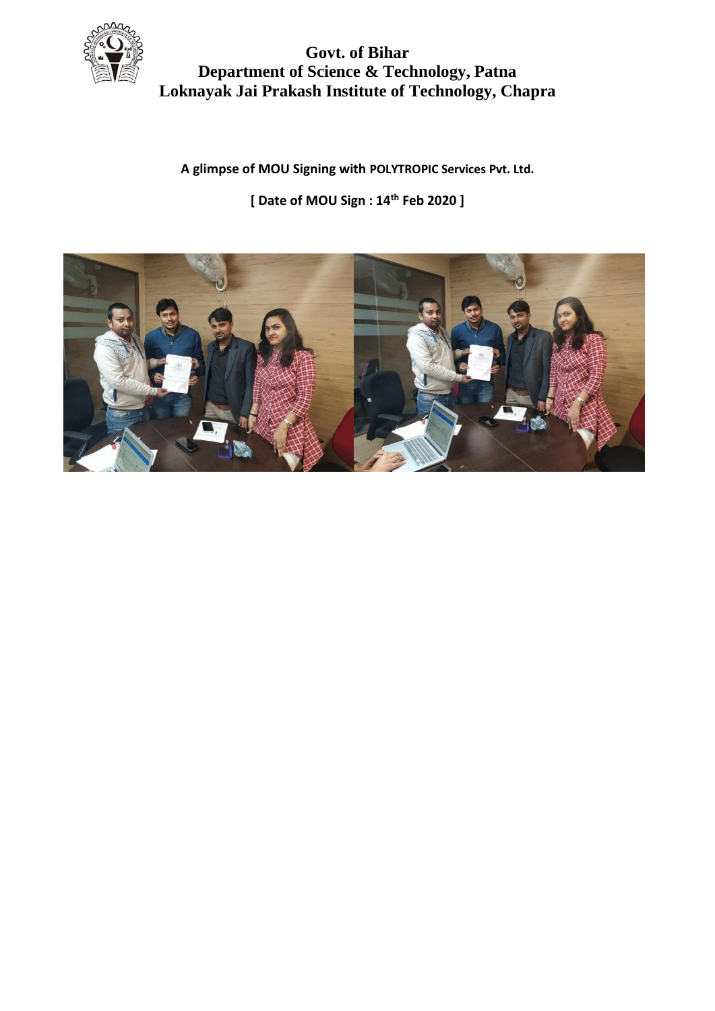

#### **Govt. of Bihar Department of Science & Technology, Patna Loknayak Jai Prakash Institute of Technology, Chapra**

**A glimpse of MOU Signing with POLYTROPIC Services Pvt. Ltd.**

**[ Date of MOU Sign : 14th Feb 2020 ]**

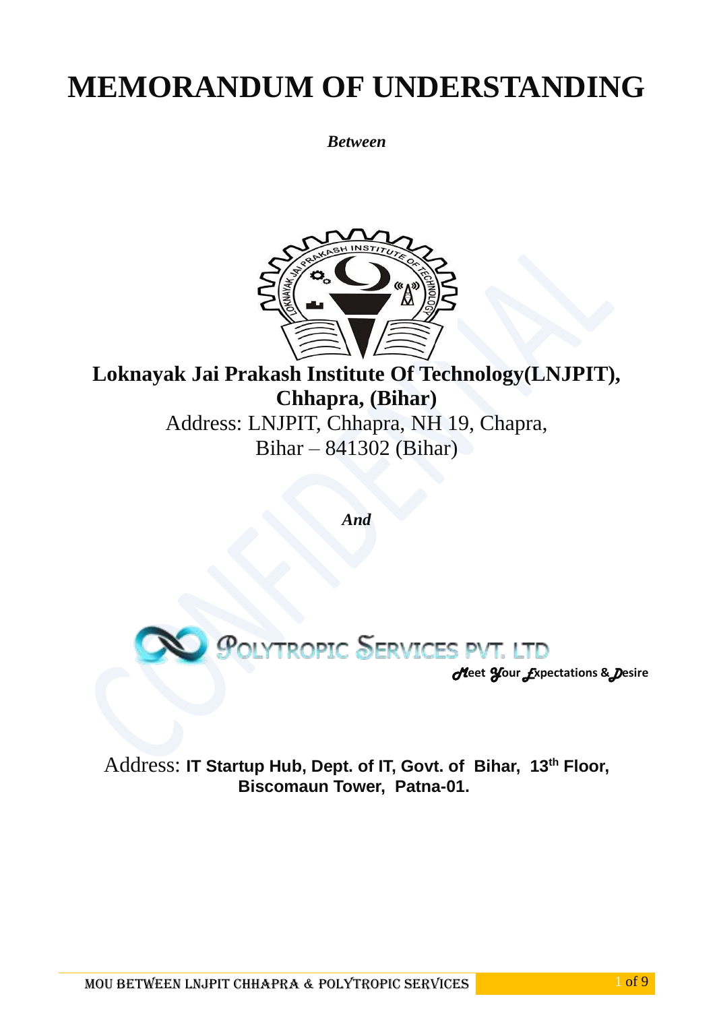*Between*



## **Loknayak Jai Prakash Institute Of Technology(LNJPIT), Chhapra, (Bihar)** Address: LNJPIT, Chhapra, NH 19, Chapra, Bihar – 841302 (Bihar)

*And*



*M***eet** *Y***our** *E***xpectations &***D***esire**

Address: **IT Startup Hub, Dept. of IT, Govt. of Bihar, 13th Floor, Biscomaun Tower, Patna-01.**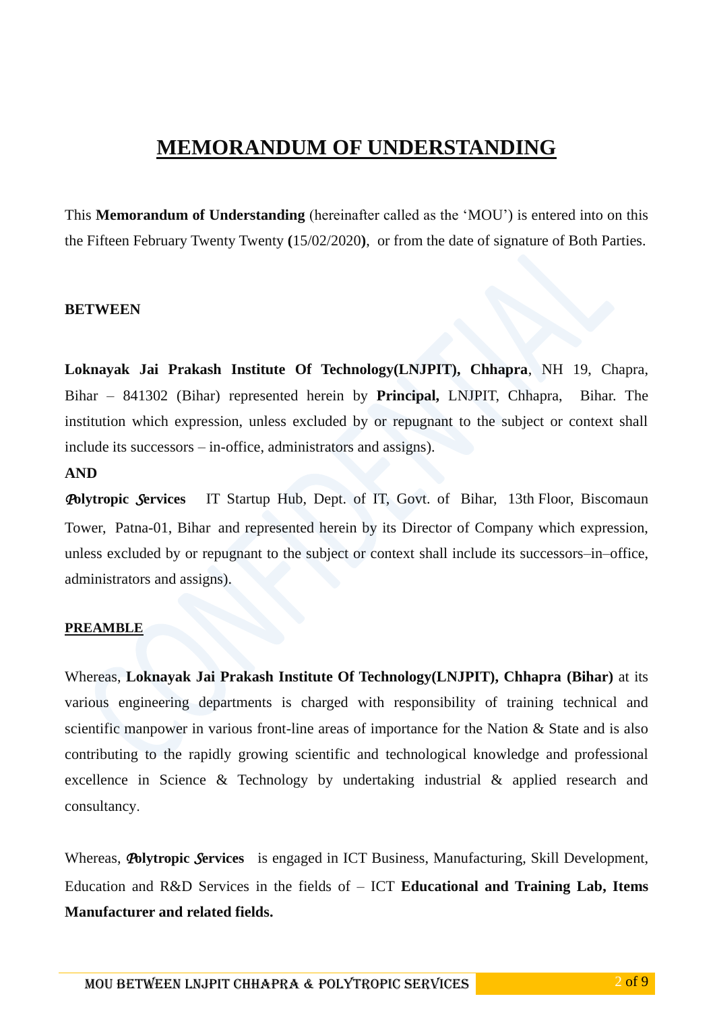This **Memorandum of Understanding** (hereinafter called as the 'MOU') is entered into on this the Fifteen February Twenty Twenty **(**15/02/2020**)**, or from the date of signature of Both Parties.

#### **BETWEEN**

**Loknayak Jai Prakash Institute Of Technology(LNJPIT), Chhapra**, NH 19, Chapra, Bihar – 841302 (Bihar) represented herein by **Principal,** LNJPIT, Chhapra, Bihar. The institution which expression, unless excluded by or repugnant to the subject or context shall include its successors – in-office, administrators and assigns).

#### **AND**

*P***olytropic** *S***ervices** IT Startup Hub, Dept. of IT, Govt. of Bihar, 13th Floor, Biscomaun Tower, Patna-01, Bihar and represented herein by its Director of Company which expression, unless excluded by or repugnant to the subject or context shall include its successors–in–office, administrators and assigns).

#### **PREAMBLE**

Whereas, **Loknayak Jai Prakash Institute Of Technology(LNJPIT), Chhapra (Bihar)** at its various engineering departments is charged with responsibility of training technical and scientific manpower in various front-line areas of importance for the Nation & State and is also contributing to the rapidly growing scientific and technological knowledge and professional excellence in Science & Technology by undertaking industrial & applied research and consultancy.

Whereas, *P***olytropic** *S***ervices** is engaged in ICT Business, Manufacturing, Skill Development, Education and R&D Services in the fields of – ICT **Educational and Training Lab, Items Manufacturer and related fields.**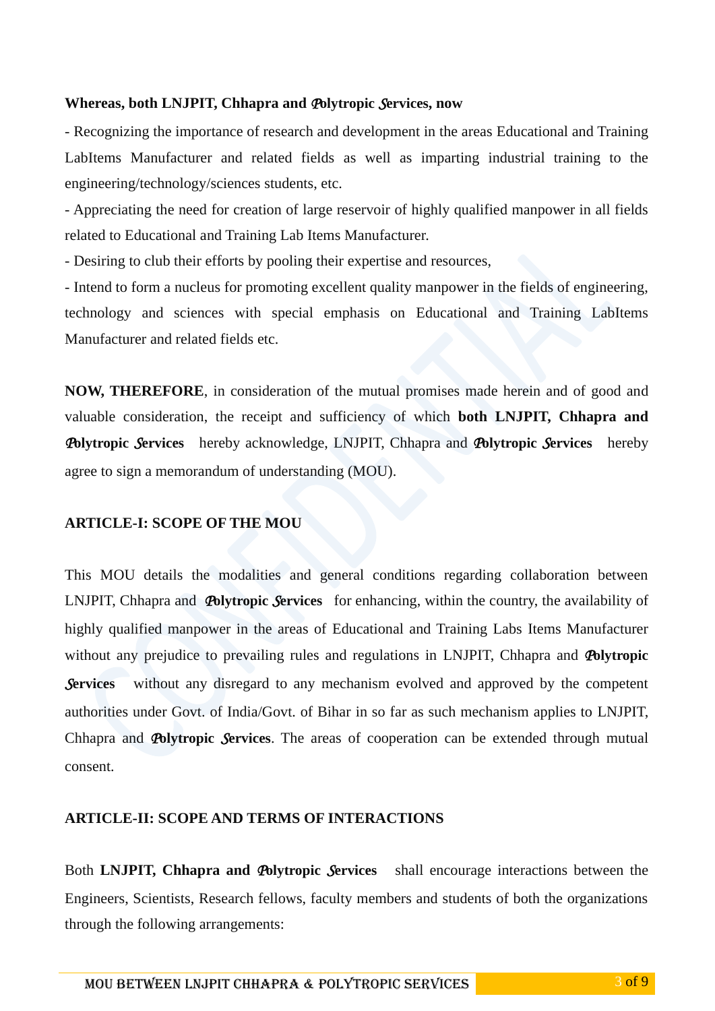#### **Whereas, both LNJPIT, Chhapra and** *P***olytropic** *S***ervices, now**

- Recognizing the importance of research and development in the areas Educational and Training LabItems Manufacturer and related fields as well as imparting industrial training to the engineering/technology/sciences students, etc.

- Appreciating the need for creation of large reservoir of highly qualified manpower in all fields related to Educational and Training Lab Items Manufacturer.

- Desiring to club their efforts by pooling their expertise and resources,

- Intend to form a nucleus for promoting excellent quality manpower in the fields of engineering, technology and sciences with special emphasis on Educational and Training LabItems Manufacturer and related fields etc.

**NOW, THEREFORE**, in consideration of the mutual promises made herein and of good and valuable consideration, the receipt and sufficiency of which **both LNJPIT, Chhapra and**  *P***olytropic** *S***ervices** hereby acknowledge, LNJPIT, Chhapra and *P***olytropic** *S***ervices** hereby agree to sign a memorandum of understanding (MOU).

#### **ARTICLE-I: SCOPE OF THE MOU**

This MOU details the modalities and general conditions regarding collaboration between LNJPIT, Chhapra and *P***olytropic** *S***ervices** for enhancing, within the country, the availability of highly qualified manpower in the areas of Educational and Training Labs Items Manufacturer without any prejudice to prevailing rules and regulations in LNJPIT, Chhapra and *P***olytropic Services** without any disregard to any mechanism evolved and approved by the competent authorities under Govt. of India/Govt. of Bihar in so far as such mechanism applies to LNJPIT, Chhapra and *P***olytropic** *S***ervices**. The areas of cooperation can be extended through mutual consent.

#### **ARTICLE-II: SCOPE AND TERMS OF INTERACTIONS**

Both **LNJPIT, Chhapra and** *P***olytropic** *S***ervices** shall encourage interactions between the Engineers, Scientists, Research fellows, faculty members and students of both the organizations through the following arrangements: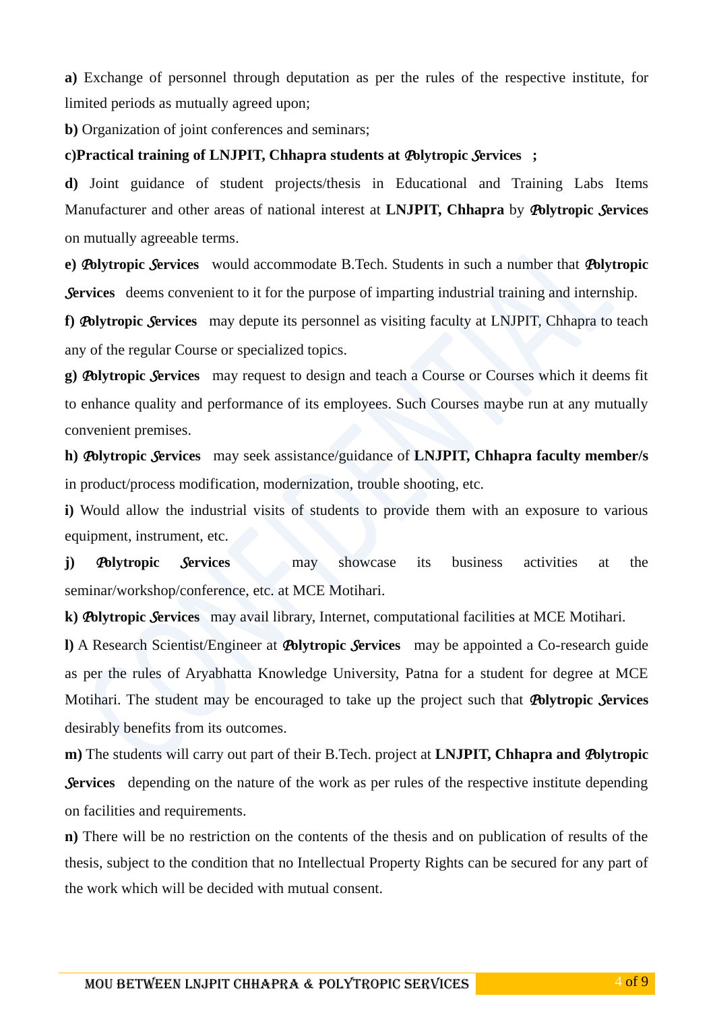**a)** Exchange of personnel through deputation as per the rules of the respective institute, for limited periods as mutually agreed upon;

**b)** Organization of joint conferences and seminars;

#### **c)Practical training of LNJPIT, Chhapra students at** *P***olytropic** *S***ervices ;**

**d)** Joint guidance of student projects/thesis in Educational and Training Labs Items Manufacturer and other areas of national interest at **LNJPIT, Chhapra** by *P***olytropic** *S***ervices**  on mutually agreeable terms.

**e)** *P***olytropic** *S***ervices** would accommodate B.Tech. Students in such a number that *P***olytropic Services** deems convenient to it for the purpose of imparting industrial training and internship.

**f)** *P***olytropic** *S***ervices** may depute its personnel as visiting faculty at LNJPIT, Chhapra to teach any of the regular Course or specialized topics.

**g)** *P***olytropic** *S***ervices** may request to design and teach a Course or Courses which it deems fit to enhance quality and performance of its employees. Such Courses maybe run at any mutually convenient premises.

**h)** *P***olytropic** *S***ervices** may seek assistance/guidance of **LNJPIT, Chhapra faculty member/s** in product/process modification, modernization, trouble shooting, etc.

**i)** Would allow the industrial visits of students to provide them with an exposure to various equipment, instrument, etc.

**j)** *P***olytropic** *S***ervices** may showcase its business activities at the seminar/workshop/conference, etc. at MCE Motihari.

**k)** *P***olytropic** *S***ervices** may avail library, Internet, computational facilities at MCE Motihari.

**l)** A Research Scientist/Engineer at *P***olytropic** *S***ervices** may be appointed a Co-research guide as per the rules of Aryabhatta Knowledge University, Patna for a student for degree at MCE Motihari. The student may be encouraged to take up the project such that *P***olytropic** *S***ervices**  desirably benefits from its outcomes.

**m)** The students will carry out part of their B.Tech. project at **LNJPIT, Chhapra and** *P***olytropic Services** depending on the nature of the work as per rules of the respective institute depending on facilities and requirements.

**n)** There will be no restriction on the contents of the thesis and on publication of results of the thesis, subject to the condition that no Intellectual Property Rights can be secured for any part of the work which will be decided with mutual consent.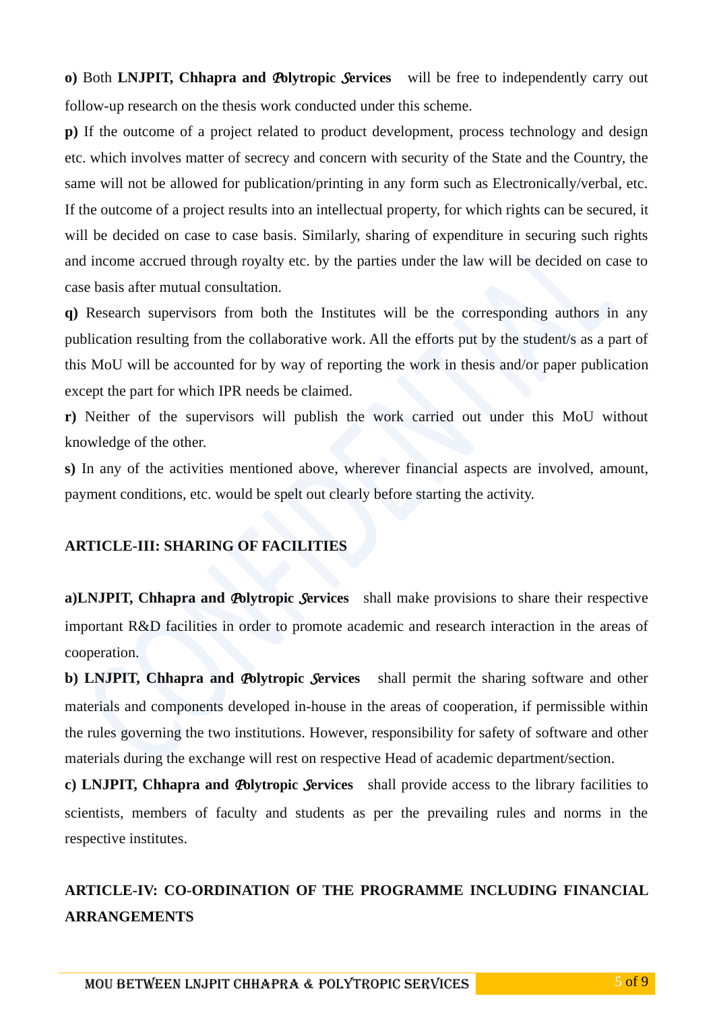**o)** Both **LNJPIT, Chhapra and** *P***olytropic** *S***ervices** will be free to independently carry out follow-up research on the thesis work conducted under this scheme.

**p)** If the outcome of a project related to product development, process technology and design etc. which involves matter of secrecy and concern with security of the State and the Country, the same will not be allowed for publication/printing in any form such as Electronically/verbal, etc. If the outcome of a project results into an intellectual property, for which rights can be secured, it will be decided on case to case basis. Similarly, sharing of expenditure in securing such rights and income accrued through royalty etc. by the parties under the law will be decided on case to case basis after mutual consultation.

**q)** Research supervisors from both the Institutes will be the corresponding authors in any publication resulting from the collaborative work. All the efforts put by the student/s as a part of this MoU will be accounted for by way of reporting the work in thesis and/or paper publication except the part for which IPR needs be claimed.

**r)** Neither of the supervisors will publish the work carried out under this MoU without knowledge of the other.

**s)** In any of the activities mentioned above, wherever financial aspects are involved, amount, payment conditions, etc. would be spelt out clearly before starting the activity.

#### **ARTICLE-III: SHARING OF FACILITIES**

**a)LNJPIT, Chhapra and** *P***olytropic** *S***ervices** shall make provisions to share their respective important R&D facilities in order to promote academic and research interaction in the areas of cooperation.

**b) LNJPIT, Chhapra and** *P***olytropic** *S***ervices** shall permit the sharing software and other materials and components developed in-house in the areas of cooperation, if permissible within the rules governing the two institutions. However, responsibility for safety of software and other materials during the exchange will rest on respective Head of academic department/section.

**c) LNJPIT, Chhapra and** *P***olytropic** *S***ervices** shall provide access to the library facilities to scientists, members of faculty and students as per the prevailing rules and norms in the respective institutes.

#### **ARTICLE-IV: CO-ORDINATION OF THE PROGRAMME INCLUDING FINANCIAL ARRANGEMENTS**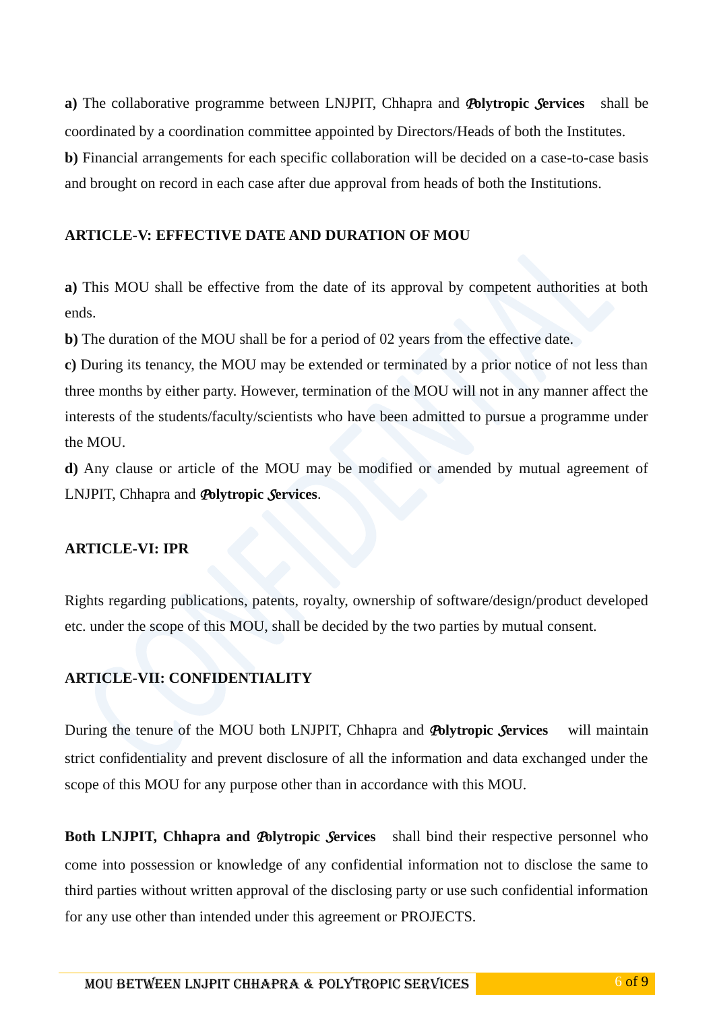**a)** The collaborative programme between LNJPIT, Chhapra and *P***olytropic** *S***ervices** shall be coordinated by a coordination committee appointed by Directors/Heads of both the Institutes. **b)** Financial arrangements for each specific collaboration will be decided on a case-to-case basis and brought on record in each case after due approval from heads of both the Institutions.

#### **ARTICLE-V: EFFECTIVE DATE AND DURATION OF MOU**

**a)** This MOU shall be effective from the date of its approval by competent authorities at both ends.

**b**) The duration of the MOU shall be for a period of 02 years from the effective date.

**c)** During its tenancy, the MOU may be extended or terminated by a prior notice of not less than three months by either party. However, termination of the MOU will not in any manner affect the interests of the students/faculty/scientists who have been admitted to pursue a programme under the MOU.

**d)** Any clause or article of the MOU may be modified or amended by mutual agreement of LNJPIT, Chhapra and *P***olytropic** *S***ervices**.

#### **ARTICLE-VI: IPR**

Rights regarding publications, patents, royalty, ownership of software/design/product developed etc. under the scope of this MOU, shall be decided by the two parties by mutual consent.

#### **ARTICLE-VII: CONFIDENTIALITY**

During the tenure of the MOU both LNJPIT, Chhapra and *P***olytropic** *S***ervices** will maintain strict confidentiality and prevent disclosure of all the information and data exchanged under the scope of this MOU for any purpose other than in accordance with this MOU.

**Both LNJPIT, Chhapra and** *P***olytropic** *S***ervices** shall bind their respective personnel who come into possession or knowledge of any confidential information not to disclose the same to third parties without written approval of the disclosing party or use such confidential information for any use other than intended under this agreement or PROJECTS.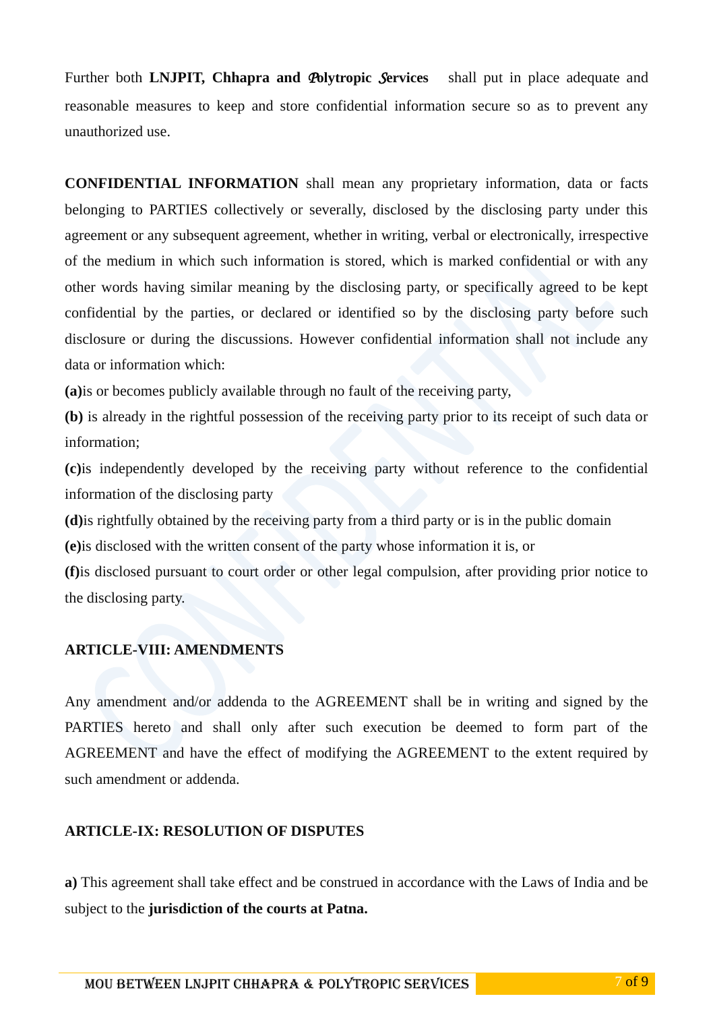Further both **LNJPIT, Chhapra and** *P***olytropic** *S***ervices** shall put in place adequate and reasonable measures to keep and store confidential information secure so as to prevent any unauthorized use.

**CONFIDENTIAL INFORMATION** shall mean any proprietary information, data or facts belonging to PARTIES collectively or severally, disclosed by the disclosing party under this agreement or any subsequent agreement, whether in writing, verbal or electronically, irrespective of the medium in which such information is stored, which is marked confidential or with any other words having similar meaning by the disclosing party, or specifically agreed to be kept confidential by the parties, or declared or identified so by the disclosing party before such disclosure or during the discussions. However confidential information shall not include any data or information which:

**(a)**is or becomes publicly available through no fault of the receiving party,

**(b)** is already in the rightful possession of the receiving party prior to its receipt of such data or information;

**(c)**is independently developed by the receiving party without reference to the confidential information of the disclosing party

**(d)**is rightfully obtained by the receiving party from a third party or is in the public domain

**(e)**is disclosed with the written consent of the party whose information it is, or

**(f)**is disclosed pursuant to court order or other legal compulsion, after providing prior notice to the disclosing party.

#### **ARTICLE-VIII: AMENDMENTS**

Any amendment and/or addenda to the AGREEMENT shall be in writing and signed by the PARTIES hereto and shall only after such execution be deemed to form part of the AGREEMENT and have the effect of modifying the AGREEMENT to the extent required by such amendment or addenda.

#### **ARTICLE-IX: RESOLUTION OF DISPUTES**

**a)** This agreement shall take effect and be construed in accordance with the Laws of India and be subject to the **jurisdiction of the courts at Patna.**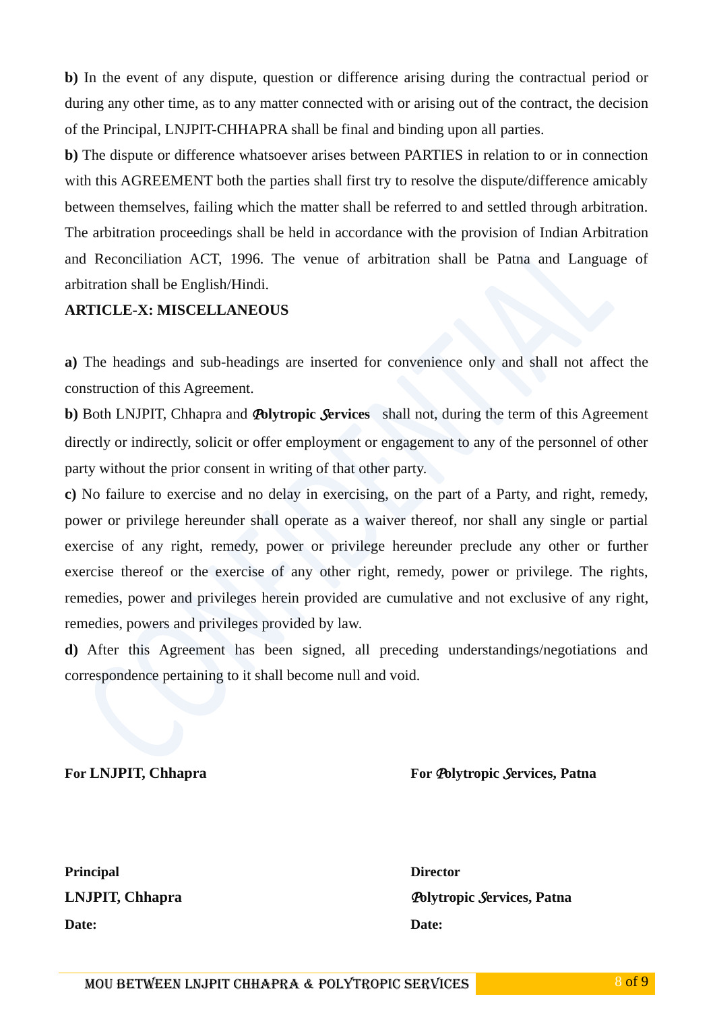**b)** In the event of any dispute, question or difference arising during the contractual period or during any other time, as to any matter connected with or arising out of the contract, the decision of the Principal, LNJPIT-CHHAPRA shall be final and binding upon all parties.

**b)** The dispute or difference whatsoever arises between PARTIES in relation to or in connection with this AGREEMENT both the parties shall first try to resolve the dispute/difference amicably between themselves, failing which the matter shall be referred to and settled through arbitration. The arbitration proceedings shall be held in accordance with the provision of Indian Arbitration and Reconciliation ACT, 1996. The venue of arbitration shall be Patna and Language of arbitration shall be English/Hindi.

#### **ARTICLE-X: MISCELLANEOUS**

**a)** The headings and sub-headings are inserted for convenience only and shall not affect the construction of this Agreement.

**b)** Both LNJPIT, Chhapra and *P***olytropic** *S***ervices** shall not, during the term of this Agreement directly or indirectly, solicit or offer employment or engagement to any of the personnel of other party without the prior consent in writing of that other party.

**c)** No failure to exercise and no delay in exercising, on the part of a Party, and right, remedy, power or privilege hereunder shall operate as a waiver thereof, nor shall any single or partial exercise of any right, remedy, power or privilege hereunder preclude any other or further exercise thereof or the exercise of any other right, remedy, power or privilege. The rights, remedies, power and privileges herein provided are cumulative and not exclusive of any right, remedies, powers and privileges provided by law.

**d)** After this Agreement has been signed, all preceding understandings/negotiations and correspondence pertaining to it shall become null and void.

#### **For LNJPIT, Chhapra For** *P***olytropic** *S***ervices, Patna**

**Principal Director Date: Date:** 

**LNJPIT, Chhapra** *P***olytropic** *S***ervices, Patna**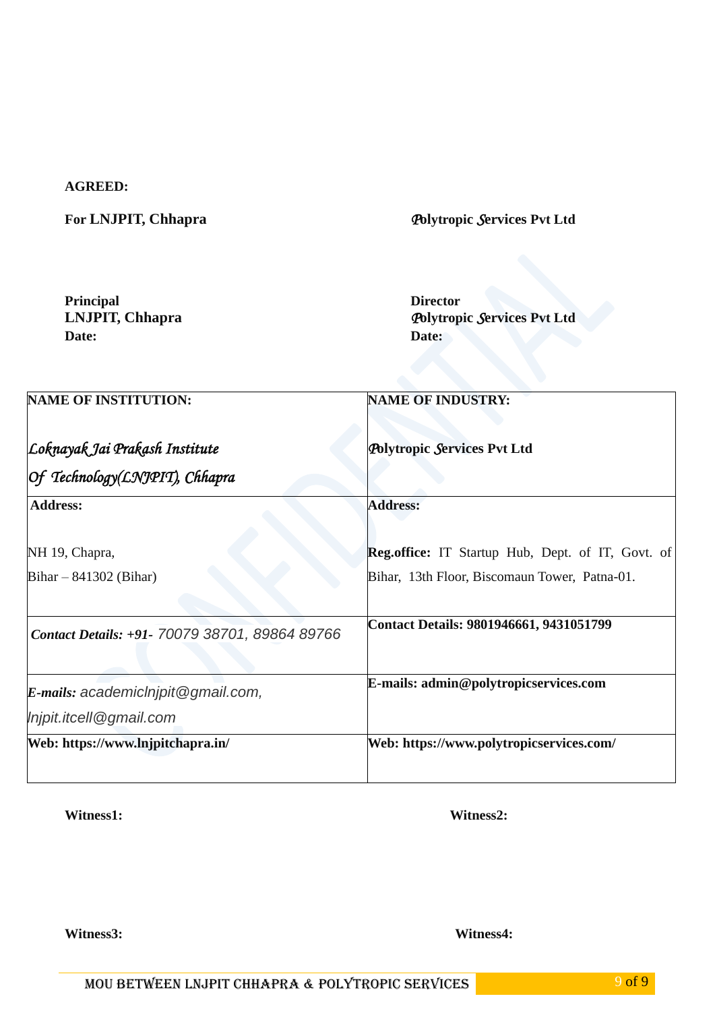#### **AGREED:**

**For LNJPIT, Chhapra** *P***olytropic** *S***ervices Pvt Ltd**

**Principal Director Date: Date:** 

**LNJPIT, Chhapra** *Polytropic Services Pvt Ltd* Date:

| <b>NAME OF INSTITUTION:</b>                    | <b>NAME OF INDUSTRY:</b><br><b>Polytropic Services Pvt Ltd</b> |  |  |
|------------------------------------------------|----------------------------------------------------------------|--|--|
| Loknayak Jai Prakash Institute                 |                                                                |  |  |
| Of Technology(LNJPIT), Chhapra                 |                                                                |  |  |
| <b>Address:</b>                                | <b>Address:</b>                                                |  |  |
| NH 19, Chapra,                                 | <b>Reg.office:</b> IT Startup Hub, Dept. of IT, Govt. of       |  |  |
| Bihar $-841302$ (Bihar)                        | Bihar, 13th Floor, Biscomaun Tower, Patna-01.                  |  |  |
| Contact Details: +91- 70079 38701, 89864 89766 | Contact Details: 9801946661, 9431051799                        |  |  |
| E-mails: academiclnipit@gmail.com,             | E-mails: admin@polytropicservices.com                          |  |  |
| Injpit.itcell@gmail.com                        |                                                                |  |  |
| Web: https://www.lnjpitchapra.in/              | Web: https://www.polytropicservices.com/                       |  |  |

Witness1: Witness2:

Witness3: Witness4: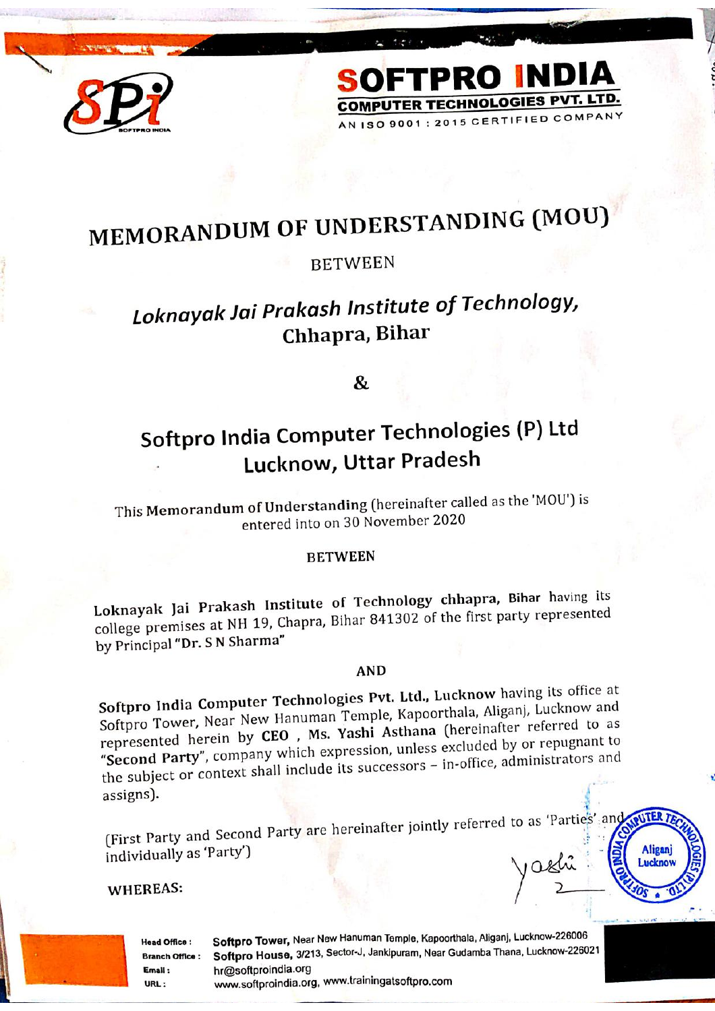

# MEMORANDUM OF UNDERSTANDING (MOU)

SOFTPRO INDIA

**COMPUTER TECHNOLOGIES PVT. LTD.** AN ISO 9001 : 2015 CERTIFIED COMPANY

#### **BETWEEN**

## Loknayak Jai Prakash Institute of Technology, Chhapra, Bihar

&

## Softpro India Computer Technologies (P) Ltd Lucknow, Uttar Pradesh

This Memorandum of Understanding (hereinafter called as the 'MOU') is entered into on 30 November 2020

#### **BETWEEN**

Loknayak Jai Prakash Institute of Technology chhapra, Bihar having its college premises at NH 19, Chapra, Bihar 841302 of the first party represented by Principal "Dr. S N Sharma"

#### **AND**

Softpro India Computer Technologies Pvt. Ltd., Lucknow having its office at Softpro Tower, Near New Hanuman Temple, Kapoorthala, Aliganj, Lucknow and represented herein by CEO, Ms. Yashi Asthana (hereinafter referred to as "Second Party", company which expression, unless excluded by or repugnant to the subject or context shall include its successors - in-office, administrators and assigns).

(First Party and Second Party are hereinafter jointly referred to as 'Parties' and individually as 'Party')

#### WHEREAS:

**Head Office: Branch Office:** Email: URL:

Softpro Tower, Near New Hanuman Temple, Kapoorthala, Aliganj, Lucknow-226006 Softpro House, 3/213, Sector-J, Jankipuram, Near Gudamba Thana, Lucknow-226021 hr@softproindia.org www.softproindia.org, www.trainingatsoftpro.com

**OUTER T** 

**Aligani** Lucknov